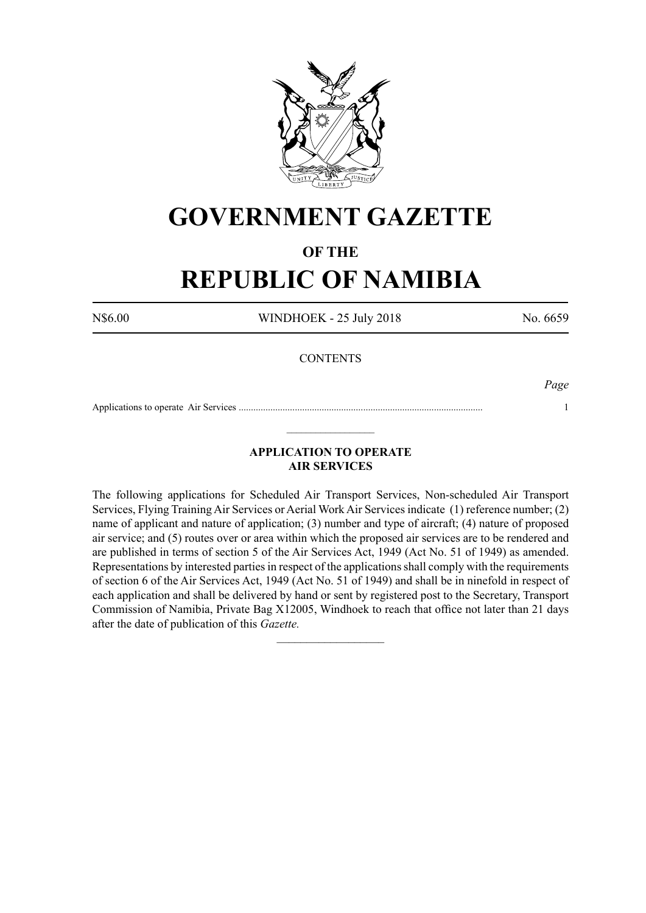

## **GOVERNMENT GAZETTE**

### **OF THE**

# **REPUBLIC OF NAMIBIA**

N\$6.00 WINDHOEK - 25 July 2018 No. 6659

#### **CONTENTS**

*Page*

Applications to operate Air Services .................................................................................................... 1  $\_$ 

### **APPLICATION TO OPERATE AIR SERVICES**

The following applications for Scheduled Air Transport Services, Non-scheduled Air Transport Services, Flying Training Air Services or Aerial Work Air Services indicate (1) reference number; (2) name of applicant and nature of application; (3) number and type of aircraft; (4) nature of proposed air service; and (5) routes over or area within which the proposed air services are to be rendered and are published in terms of section 5 of the Air Services Act, 1949 (Act No. 51 of 1949) as amended. Representations by interested parties in respect of the applications shall comply with the requirements of section 6 of the Air Services Act, 1949 (Act No. 51 of 1949) and shall be in ninefold in respect of each application and shall be delivered by hand or sent by registered post to the Secretary, Transport Commission of Namibia, Private Bag X12005, Windhoek to reach that office not later than 21 days after the date of publication of this *Gazette.*

 $\frac{1}{2}$  ,  $\frac{1}{2}$  ,  $\frac{1}{2}$  ,  $\frac{1}{2}$  ,  $\frac{1}{2}$  ,  $\frac{1}{2}$  ,  $\frac{1}{2}$  ,  $\frac{1}{2}$  ,  $\frac{1}{2}$  ,  $\frac{1}{2}$